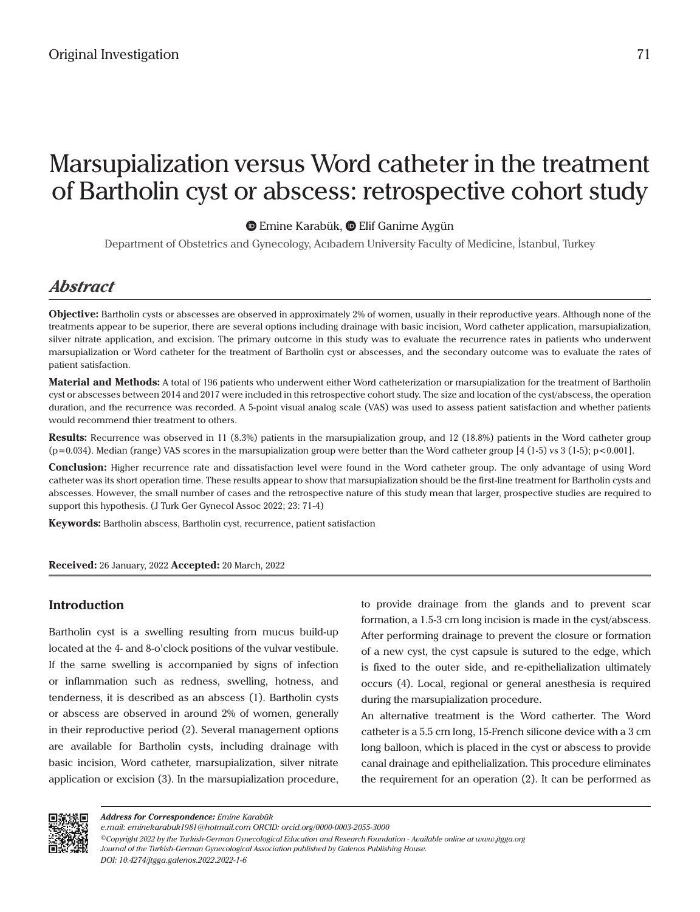# Marsupialization versus Word catheter in the treatment of Bartholin cyst or abscess: retrospective cohort study

**EmineKarabük, @ Elif Ganime Aygün** 

Department of Obstetrics and Gynecology, Acıbadem University Faculty of Medicine, İstanbul, Turkey

# *Abstract*

**Objective:** Bartholin cysts or abscesses are observed in approximately 2% of women, usually in their reproductive years. Although none of the treatments appear to be superior, there are several options including drainage with basic incision, Word catheter application, marsupialization, silver nitrate application, and excision. The primary outcome in this study was to evaluate the recurrence rates in patients who underwent marsupialization or Word catheter for the treatment of Bartholin cyst or abscesses, and the secondary outcome was to evaluate the rates of patient satisfaction.

**Material and Methods:** A total of 196 patients who underwent either Word catheterization or marsupialization for the treatment of Bartholin cyst or abscesses between 2014 and 2017 were included in this retrospective cohort study. The size and location of the cyst/abscess, the operation duration, and the recurrence was recorded. A 5-point visual analog scale (VAS) was used to assess patient satisfaction and whether patients would recommend thier treatment to others.

**Results:** Recurrence was observed in 11 (8.3%) patients in the marsupialization group, and 12 (18.8%) patients in the Word catheter group (p=0.034). Median (range) VAS scores in the marsupialization group were better than the Word catheter group [4 (1-5) vs 3 (1-5); p<0.001].

**Conclusion:** Higher recurrence rate and dissatisfaction level were found in the Word catheter group. The only advantage of using Word catheter was its short operation time. These results appear to show that marsupialization should be the first-line treatment for Bartholin cysts and abscesses. However, the small number of cases and the retrospective nature of this study mean that larger, prospective studies are required to support this hypothesis. (J Turk Ger Gynecol Assoc 2022; 23: 71-4)

**Keywords:** Bartholin abscess, Bartholin cyst, recurrence, patient satisfaction

**Received:** 26 January, 2022 **Accepted:** 20 March, 2022

# **Introduction**

Bartholin cyst is a swelling resulting from mucus build-up located at the 4- and 8-o'clock positions of the vulvar vestibule. If the same swelling is accompanied by signs of infection or inflammation such as redness, swelling, hotness, and tenderness, it is described as an abscess (1). Bartholin cysts or abscess are observed in around 2% of women, generally in their reproductive period (2). Several management options are available for Bartholin cysts, including drainage with basic incision, Word catheter, marsupialization, silver nitrate application or excision (3). In the marsupialization procedure,

to provide drainage from the glands and to prevent scar formation, a 1.5-3 cm long incision is made in the cyst/abscess. After performing drainage to prevent the closure or formation of a new cyst, the cyst capsule is sutured to the edge, which is fixed to the outer side, and re-epithelialization ultimately occurs (4). Local, regional or general anesthesia is required during the marsupialization procedure.

An alternative treatment is the Word catherter. The Word catheter is a 5.5 cm long, 15-French silicone device with a 3 cm long balloon, which is placed in the cyst or abscess to provide canal drainage and epithelialization. This procedure eliminates the requirement for an operation (2). It can be performed as



*Address for Correspondence: Emine Karabük*

*e.mail: eminekarabuk1981@hotmail.com ORCID: orcid.org/0000-0003-2055-3000*

*<sup>©</sup>Copyright 2022 by the Turkish-German Gynecological Education and Research Foundation - Available online at www.jtgga.org Journal of the Turkish-German Gynecological Association published by Galenos Publishing House. DOI: 10.4274/jtgga.galenos.2022.2022-1-6*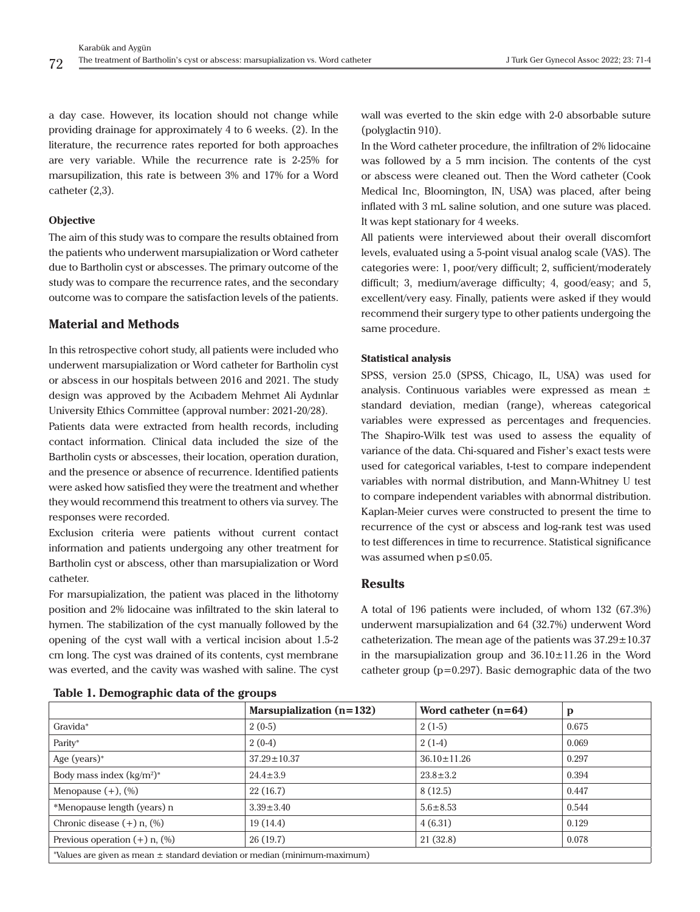a day case. However, its location should not change while providing drainage for approximately 4 to 6 weeks. (2). In the literature, the recurrence rates reported for both approaches are very variable. While the recurrence rate is 2-25% for marsupilization, this rate is between 3% and 17% for a Word catheter (2,3).

#### **Objective**

The aim of this study was to compare the results obtained from the patients who underwent marsupialization or Word catheter due to Bartholin cyst or abscesses. The primary outcome of the study was to compare the recurrence rates, and the secondary outcome was to compare the satisfaction levels of the patients.

## **Material and Methods**

In this retrospective cohort study, all patients were included who underwent marsupialization or Word catheter for Bartholin cyst or abscess in our hospitals between 2016 and 2021. The study design was approved by the Acıbadem Mehmet Ali Aydınlar University Ethics Committee (approval number: 2021-20/28).

Patients data were extracted from health records, including contact information. Clinical data included the size of the Bartholin cysts or abscesses, their location, operation duration, and the presence or absence of recurrence. Identified patients were asked how satisfied they were the treatment and whether they would recommend this treatment to others via survey. The responses were recorded.

Exclusion criteria were patients without current contact information and patients undergoing any other treatment for Bartholin cyst or abscess, other than marsupialization or Word catheter.

For marsupialization, the patient was placed in the lithotomy position and 2% lidocaine was infiltrated to the skin lateral to hymen. The stabilization of the cyst manually followed by the opening of the cyst wall with a vertical incision about 1.5-2 cm long. The cyst was drained of its contents, cyst membrane was everted, and the cavity was washed with saline. The cyst wall was everted to the skin edge with 2-0 absorbable suture (polyglactin 910).

In the Word catheter procedure, the infiltration of 2% lidocaine was followed by a 5 mm incision. The contents of the cyst or abscess were cleaned out. Then the Word catheter (Cook Medical Inc, Bloomington, IN, USA) was placed, after being inflated with 3 mL saline solution, and one suture was placed. It was kept stationary for 4 weeks.

All patients were interviewed about their overall discomfort levels, evaluated using a 5-point visual analog scale (VAS). The categories were: 1, poor/very difficult; 2, sufficient/moderately difficult; 3, medium/average difficulty; 4, good/easy; and 5, excellent/very easy. Finally, patients were asked if they would recommend their surgery type to other patients undergoing the same procedure.

#### **Statistical analysis**

SPSS, version 25.0 (SPSS, Chicago, IL, USA) was used for analysis. Continuous variables were expressed as mean ± standard deviation, median (range), whereas categorical variables were expressed as percentages and frequencies. The Shapiro-Wilk test was used to assess the equality of variance of the data. Chi-squared and Fisher's exact tests were used for categorical variables, t-test to compare independent variables with normal distribution, and Mann-Whitney U test to compare independent variables with abnormal distribution. Kaplan-Meier curves were constructed to present the time to recurrence of the cyst or abscess and log-rank test was used to test differences in time to recurrence. Statistical significance was assumed when p≤0.05.

#### **Results**

A total of 196 patients were included, of whom 132 (67.3%) underwent marsupialization and 64 (32.7%) underwent Word catheterization. The mean age of the patients was  $37.29 \pm 10.37$ in the marsupialization group and  $36.10 \pm 11.26$  in the Word catheter group (p=0.297). Basic demographic data of the two

|                                                                                    | Marsupialization $(n=132)$ | Word catheter $(n=64)$ | p     |
|------------------------------------------------------------------------------------|----------------------------|------------------------|-------|
| Gravida*                                                                           | $2(0-5)$                   | $2(1-5)$               | 0.675 |
| Parity*                                                                            | $2(0-4)$                   | $2(1-4)$               | 0.069 |
| Age (years) $*$                                                                    | $37.29 \pm 10.37$          | $36.10 \pm 11.26$      | 0.297 |
| Body mass index $(kg/m^2)^*$                                                       | $24.4 \pm 3.9$             | $23.8 \pm 3.2$         | 0.394 |
| Menopause $(+)$ , $(\%)$                                                           | 22(16.7)                   | 8(12.5)                | 0.447 |
| *Menopause length (years) n                                                        | $3.39 \pm 3.40$            | $5.6 \pm 8.53$         | 0.544 |
| Chronic disease $(+)$ n, $(\%)$                                                    | 19(14.4)                   | 4(6.31)                | 0.129 |
| Previous operation $(+)$ n, $(\%)$                                                 | 26(19.7)                   | 21(32.8)               | 0.078 |
| $^*$ Values are given as mean $\pm$ standard deviation or median (minimum-maximum) |                            |                        |       |

**Table 1. Demographic data of the groups**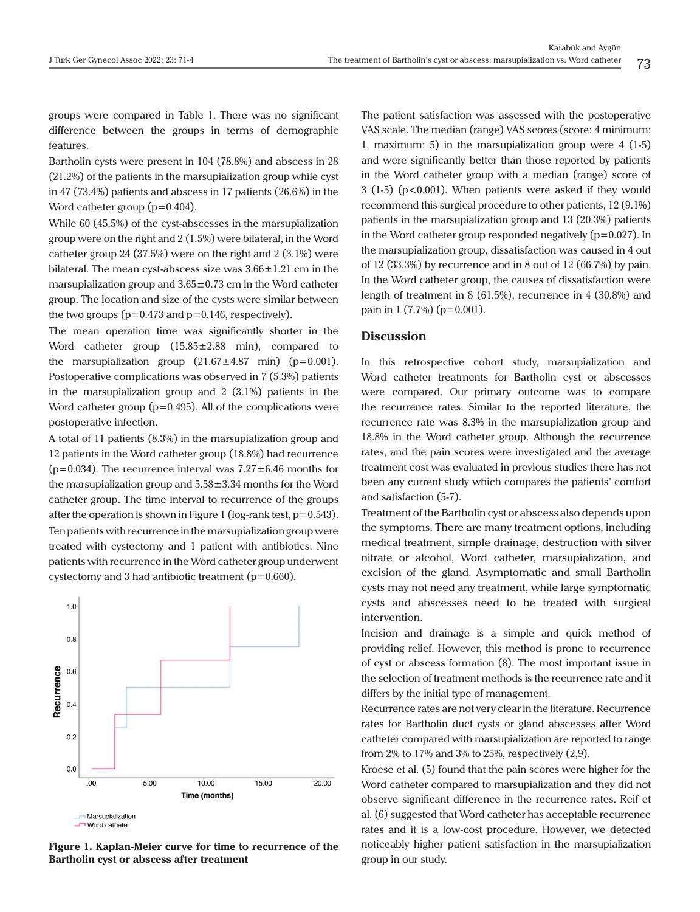groups were compared in Table 1. There was no significant difference between the groups in terms of demographic features.

Bartholin cysts were present in 104 (78.8%) and abscess in 28 (21.2%) of the patients in the marsupialization group while cyst in 47 (73.4%) patients and abscess in 17 patients (26.6%) in the Word catheter group (p=0.404).

While 60 (45.5%) of the cyst-abscesses in the marsupialization group were on the right and 2 (1.5%) were bilateral, in the Word catheter group 24 (37.5%) were on the right and 2 (3.1%) were bilateral. The mean cyst-abscess size was  $3.66 \pm 1.21$  cm in the marsupialization group and  $3.65\pm0.73$  cm in the Word catheter group. The location and size of the cysts were similar between the two groups  $(p=0.473$  and  $p=0.146$ , respectively).

The mean operation time was significantly shorter in the Word catheter group (15.85±2.88 min), compared to the marsupialization group  $(21.67 \pm 4.87 \text{ min})$  (p=0.001). Postoperative complications was observed in 7 (5.3%) patients in the marsupialization group and 2 (3.1%) patients in the Word catheter group  $(p=0.495)$ . All of the complications were postoperative infection.

A total of 11 patients (8.3%) in the marsupialization group and 12 patients in the Word catheter group (18.8%) had recurrence ( $p=0.034$ ). The recurrence interval was  $7.27\pm6.46$  months for the marsupialization group and  $5.58 \pm 3.34$  months for the Word catheter group. The time interval to recurrence of the groups after the operation is shown in Figure 1 (log-rank test,  $p=0.543$ ). Ten patients with recurrence in the marsupialization group were treated with cystectomy and 1 patient with antibiotics. Nine patients with recurrence in the Word catheter group underwent cystectomy and 3 had antibiotic treatment (p=0.660).



**Figure 1. Kaplan-Meier curve for time to recurrence of the Bartholin cyst or abscess after treatment**

The patient satisfaction was assessed with the postoperative VAS scale. The median (range) VAS scores (score: 4 minimum: 1, maximum: 5) in the marsupialization group were 4 (1-5) and were significantly better than those reported by patients in the Word catheter group with a median (range) score of  $3(1-5)(p<0.001)$ . When patients were asked if they would recommend this surgical procedure to other patients, 12 (9.1%) patients in the marsupialization group and 13 (20.3%) patients in the Word catheter group responded negatively  $(p=0.027)$ . In the marsupialization group, dissatisfaction was caused in 4 out of 12 (33.3%) by recurrence and in 8 out of 12 (66.7%) by pain. In the Word catheter group, the causes of dissatisfaction were length of treatment in 8 (61.5%), recurrence in 4 (30.8%) and pain in 1 (7.7%) (p=0.001).

#### **Discussion**

In this retrospective cohort study, marsupialization and Word catheter treatments for Bartholin cyst or abscesses were compared. Our primary outcome was to compare the recurrence rates. Similar to the reported literature, the recurrence rate was 8.3% in the marsupialization group and 18.8% in the Word catheter group. Although the recurrence rates, and the pain scores were investigated and the average treatment cost was evaluated in previous studies there has not been any current study which compares the patients' comfort and satisfaction (5-7).

Treatment of the Bartholin cyst or abscess also depends upon the symptoms. There are many treatment options, including medical treatment, simple drainage, destruction with silver nitrate or alcohol, Word catheter, marsupialization, and excision of the gland. Asymptomatic and small Bartholin cysts may not need any treatment, while large symptomatic cysts and abscesses need to be treated with surgical intervention.

Incision and drainage is a simple and quick method of providing relief. However, this method is prone to recurrence of cyst or abscess formation (8). The most important issue in the selection of treatment methods is the recurrence rate and it differs by the initial type of management.

Recurrence rates are not very clear in the literature. Recurrence rates for Bartholin duct cysts or gland abscesses after Word catheter compared with marsupialization are reported to range from 2% to 17% and 3% to 25%, respectively (2,9).

Kroese et al. (5) found that the pain scores were higher for the Word catheter compared to marsupialization and they did not observe significant difference in the recurrence rates. Reif et al. (6) suggested that Word catheter has acceptable recurrence rates and it is a low-cost procedure. However, we detected noticeably higher patient satisfaction in the marsupialization group in our study.